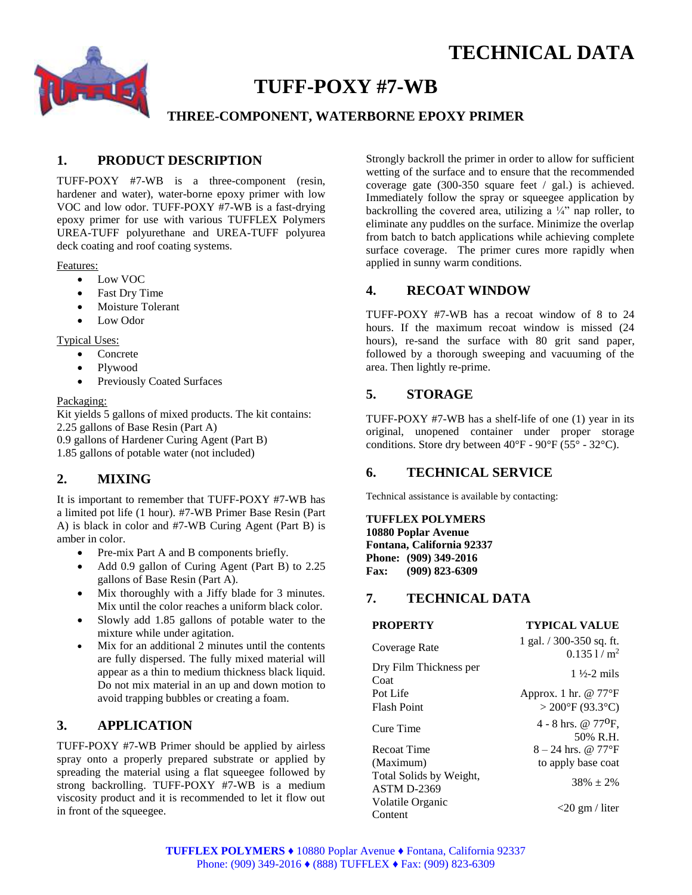

# **TUFF-POXY #7-WB**

# **THREE-COMPONENT, WATERBORNE EPOXY PRIMER**

# **1. PRODUCT DESCRIPTION**

TUFF-POXY #7-WB is a three-component (resin, hardener and water), water-borne epoxy primer with low VOC and low odor. TUFF-POXY #7-WB is a fast-drying epoxy primer for use with various TUFFLEX Polymers UREA-TUFF polyurethane and UREA-TUFF polyurea deck coating and roof coating systems.

#### Features:

- Low VOC
- Fast Dry Time
- Moisture Tolerant
- Low Odor

#### Typical Uses:

- Concrete
- Plywood
- Previously Coated Surfaces

#### Packaging:

Kit yields 5 gallons of mixed products. The kit contains: 2.25 gallons of Base Resin (Part A) 0.9 gallons of Hardener Curing Agent (Part B)

1.85 gallons of potable water (not included)

# **2. MIXING**

It is important to remember that TUFF-POXY #7-WB has a limited pot life (1 hour). #7-WB Primer Base Resin (Part A) is black in color and #7-WB Curing Agent (Part B) is amber in color.

- Pre-mix Part A and B components briefly.
- Add 0.9 gallon of Curing Agent (Part B) to 2.25 gallons of Base Resin (Part A).
- Mix thoroughly with a Jiffy blade for 3 minutes. Mix until the color reaches a uniform black color.
- Slowly add 1.85 gallons of potable water to the mixture while under agitation.
- Mix for an additional 2 minutes until the contents are fully dispersed. The fully mixed material will appear as a thin to medium thickness black liquid. Do not mix material in an up and down motion to avoid trapping bubbles or creating a foam.

# **3. APPLICATION**

TUFF-POXY #7-WB Primer should be applied by airless spray onto a properly prepared substrate or applied by spreading the material using a flat squeegee followed by strong backrolling. TUFF-POXY #7-WB is a medium viscosity product and it is recommended to let it flow out in front of the squeegee.

Strongly backroll the primer in order to allow for sufficient wetting of the surface and to ensure that the recommended coverage gate (300-350 square feet / gal.) is achieved. Immediately follow the spray or squeegee application by backrolling the covered area, utilizing a  $\frac{1}{4}$  nap roller, to eliminate any puddles on the surface. Minimize the overlap from batch to batch applications while achieving complete surface coverage. The primer cures more rapidly when applied in sunny warm conditions.

## **4. RECOAT WINDOW**

TUFF-POXY #7-WB has a recoat window of 8 to 24 hours. If the maximum recoat window is missed (24 hours), re-sand the surface with 80 grit sand paper, followed by a thorough sweeping and vacuuming of the area. Then lightly re-prime.

## **5. STORAGE**

TUFF-POXY #7-WB has a shelf-life of one (1) year in its original, unopened container under proper storage conditions. Store dry between  $40^{\circ}$ F -  $90^{\circ}$ F (55° - 32°C).

## **6. TECHNICAL SERVICE**

Technical assistance is available by contacting:

**TUFFLEX POLYMERS 10880 Poplar Avenue Fontana, California 92337 Phone: (909) 349-2016**

**Fax: (909) 823-6309**

## **7. TECHNICAL DATA**

| <b>PROPERTY</b>                               | <b>TYPICAL VALUE</b>                       |
|-----------------------------------------------|--------------------------------------------|
| Coverage Rate                                 | 1 gal. $/$ 300-350 sq. ft.<br>$0.1351/m^2$ |
| Dry Film Thickness per<br>Coat                | $1\frac{1}{2}$ -2 mils                     |
| Pot Life                                      | Approx. 1 hr. $@ 77^{\circ}F$              |
| <b>Flash Point</b>                            | $>$ 200 $\mathrm{P}$ (93.3 $\mathrm{C}$ )  |
| Cure Time                                     | 4 - 8 hrs. @ $77^{\circ}F$ ,<br>50% R.H.   |
| Recoat Time                                   | $8 - 24$ hrs. @ 77°F                       |
| (Maximum)                                     | to apply base coat                         |
| Total Solids by Weight,<br><b>ASTM D-2369</b> | $38\% + 2\%$                               |
| Volatile Organic<br>Content                   | $<$ 20 gm / liter                          |